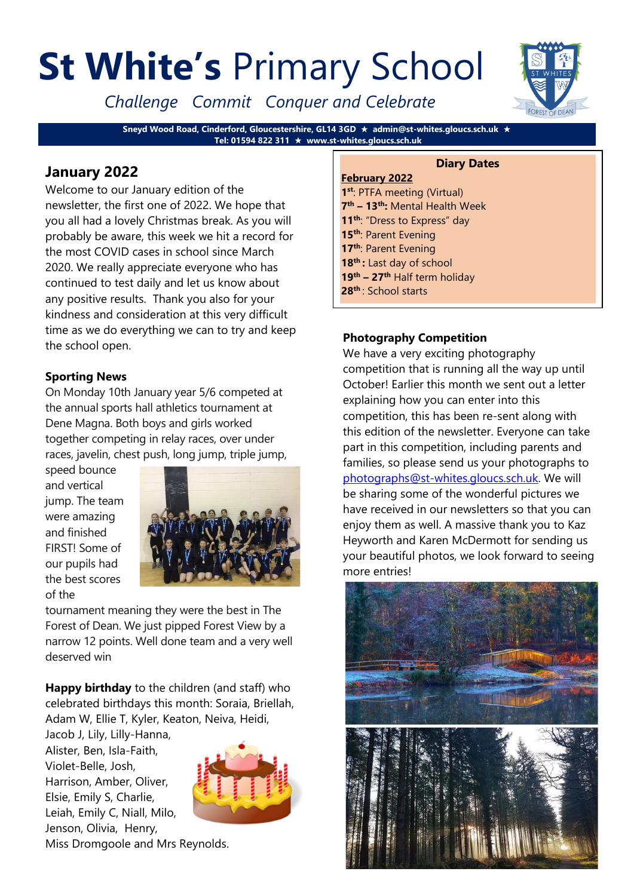# **St White's** Primary School

*Challenge Commit Conquer and Celebrate*

**Sneyd Wood Road, Cinderford, Gloucestershire, GL14 3GD admin@st-whites.gloucs.sch.uk Tel: 01594 822 311 www.st-whites.gloucs.sch.uk**

# **January 2022**

Welcome to our January edition of the newsletter, the first one of 2022. We hope that you all had a lovely Christmas break. As you will probably be aware, this week we hit a record for the most COVID cases in school since March 2020. We really appreciate everyone who has continued to test daily and let us know about any positive results. Thank you also for your kindness and consideration at this very difficult time as we do everything we can to try and keep the school open.

# **Sporting News**

On Monday 10th January year 5/6 competed at the annual sports hall athletics tournament at Dene Magna. Both boys and girls worked together competing in relay races, over under races, javelin, chest push, long jump, triple jump,

speed bounce and vertical jump. The team were amazing and finished FIRST! Some of our pupils had the best scores of the



tournament meaning they were the best in The Forest of Dean. We just pipped Forest View by a narrow 12 points. Well done team and a very well deserved win

**Happy birthday** to the children (and staff) who celebrated birthdays this month: Soraia, Briellah, Adam W, Ellie T, Kyler, Keaton, Neiva, Heidi,

Jacob J, Lily, Lilly-Hanna, Alister, Ben, Isla-Faith, Violet-Belle, Josh, Harrison, Amber, Oliver, Elsie, Emily S, Charlie, Leiah, Emily C, Niall, Milo, Jenson, Olivia, Henry,



Miss Dromgoole and Mrs Reynolds.

#### **Diary Dates**

**February 2022 st**: PTFA meeting (Virtual) **th – 13th:** Mental Health Week **th**: "Dress to Express" day **th**: Parent Evening **th**: Parent Evening **th :** Last day of school **th – 27th** Half term holiday **th** : School starts

#### **Photography Competition**

We have a very exciting photography competition that is running all the way up until October! Earlier this month we sent out a letter explaining how you can enter into this competition, this has been re-sent along with this edition of the newsletter. Everyone can take part in this competition, including parents and families, so please send us your photographs to [photographs@st-whites.gloucs.sch.uk.](mailto:photographs@st-whites.gloucs.sch.uk) We will be sharing some of the wonderful pictures we have received in our newsletters so that you can enjoy them as well. A massive thank you to Kaz Heyworth and Karen McDermott for sending us your beautiful photos, we look forward to seeing more entries!